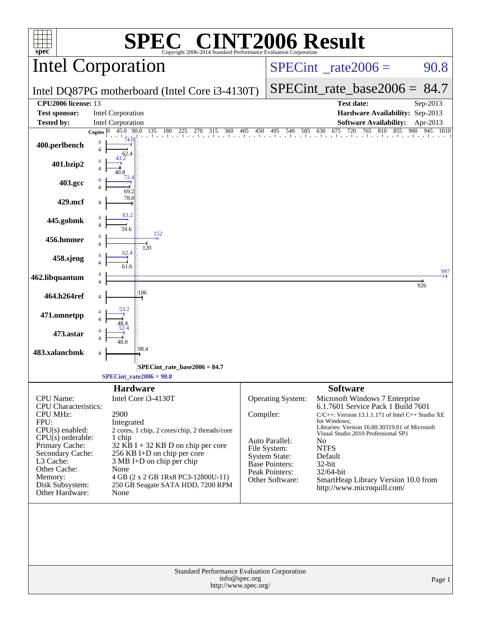| spec®                                                                                                                                                                                                                                    | $\mathbf{I}(\mathbb{R})$<br>Copyright 2006-2014 Standard Performance Evaluation Corporation                                                                                                                                                                                                                          |           |                                                                                                                                    | <b>NT2006 Result</b>                                                                                                                                                                                                                                                                                                                                                                              |            |
|------------------------------------------------------------------------------------------------------------------------------------------------------------------------------------------------------------------------------------------|----------------------------------------------------------------------------------------------------------------------------------------------------------------------------------------------------------------------------------------------------------------------------------------------------------------------|-----------|------------------------------------------------------------------------------------------------------------------------------------|---------------------------------------------------------------------------------------------------------------------------------------------------------------------------------------------------------------------------------------------------------------------------------------------------------------------------------------------------------------------------------------------------|------------|
|                                                                                                                                                                                                                                          | <b>Intel Corporation</b>                                                                                                                                                                                                                                                                                             |           | $SPECint^{\circ}$ rate 2006 =                                                                                                      | 90.8                                                                                                                                                                                                                                                                                                                                                                                              |            |
|                                                                                                                                                                                                                                          | Intel DQ87PG motherboard (Intel Core i3-4130T)                                                                                                                                                                                                                                                                       |           | $SPECint_rate_base2006 = 84.7$                                                                                                     |                                                                                                                                                                                                                                                                                                                                                                                                   |            |
| CPU <sub>2006</sub> license: 13<br><b>Test sponsor:</b>                                                                                                                                                                                  | <b>Intel Corporation</b>                                                                                                                                                                                                                                                                                             |           |                                                                                                                                    | <b>Test date:</b><br>Hardware Availability: Sep-2013                                                                                                                                                                                                                                                                                                                                              | Sep-2013   |
| <b>Tested by:</b>                                                                                                                                                                                                                        | <b>Intel Corporation</b>                                                                                                                                                                                                                                                                                             |           |                                                                                                                                    | <b>Software Availability:</b>                                                                                                                                                                                                                                                                                                                                                                     | Apr-2013   |
| 400.perlbench<br>401.bzip2<br>403.gcc                                                                                                                                                                                                    | 45.0 90.0<br><b>Copies</b><br>$\overline{\mathcal{L}}$                                                                                                                                                                                                                                                               |           |                                                                                                                                    | 135 180 225 270 315 360 405 450 495 540 585 630 675 720 765 810 855 900 945 1010                                                                                                                                                                                                                                                                                                                  | 1010       |
| 429.mcf                                                                                                                                                                                                                                  | 69.2<br>78.0                                                                                                                                                                                                                                                                                                         |           |                                                                                                                                    |                                                                                                                                                                                                                                                                                                                                                                                                   |            |
| 445.gobmk                                                                                                                                                                                                                                | 63.2<br>59.6                                                                                                                                                                                                                                                                                                         |           |                                                                                                                                    |                                                                                                                                                                                                                                                                                                                                                                                                   |            |
| 456.hmmer                                                                                                                                                                                                                                | 152<br>120                                                                                                                                                                                                                                                                                                           |           |                                                                                                                                    |                                                                                                                                                                                                                                                                                                                                                                                                   |            |
| 458.sjeng                                                                                                                                                                                                                                | 62.4                                                                                                                                                                                                                                                                                                                 |           |                                                                                                                                    |                                                                                                                                                                                                                                                                                                                                                                                                   |            |
| 462.libquantum                                                                                                                                                                                                                           |                                                                                                                                                                                                                                                                                                                      |           |                                                                                                                                    |                                                                                                                                                                                                                                                                                                                                                                                                   | 997<br>926 |
| 464.h264ref                                                                                                                                                                                                                              | :106                                                                                                                                                                                                                                                                                                                 |           |                                                                                                                                    |                                                                                                                                                                                                                                                                                                                                                                                                   |            |
| 471.omnetpp                                                                                                                                                                                                                              |                                                                                                                                                                                                                                                                                                                      |           |                                                                                                                                    |                                                                                                                                                                                                                                                                                                                                                                                                   |            |
| 473.astar                                                                                                                                                                                                                                |                                                                                                                                                                                                                                                                                                                      |           |                                                                                                                                    |                                                                                                                                                                                                                                                                                                                                                                                                   |            |
| 483.xalancbmk                                                                                                                                                                                                                            | 198.4<br>4                                                                                                                                                                                                                                                                                                           |           |                                                                                                                                    |                                                                                                                                                                                                                                                                                                                                                                                                   |            |
|                                                                                                                                                                                                                                          | SPECint_rate_base2006 = 84.7<br>$SPECint_rate2006 = 90.8$                                                                                                                                                                                                                                                            |           |                                                                                                                                    |                                                                                                                                                                                                                                                                                                                                                                                                   |            |
| <b>CPU</b> Name:<br><b>CPU</b> Characteristics:<br><b>CPU MHz:</b><br>FPU:<br>CPU(s) enabled:<br>$CPU(s)$ orderable:<br>Primary Cache:<br>Secondary Cache:<br>L3 Cache:<br>Other Cache:<br>Memory:<br>Disk Subsystem:<br>Other Hardware: | <b>Hardware</b><br>Intel Core i3-4130T<br>2900<br>Integrated<br>2 cores, 1 chip, 2 cores/chip, 2 threads/core<br>1 chip<br>32 KB I + 32 KB D on chip per core<br>256 KB I+D on chip per core<br>3 MB I+D on chip per chip<br>None<br>4 GB (2 x 2 GB 1Rx8 PC3-12800U-11)<br>250 GB Seagate SATA HDD, 7200 RPM<br>None | Compiler: | Operating System:<br>Auto Parallel:<br>File System:<br><b>System State:</b><br>Base Pointers:<br>Peak Pointers:<br>Other Software: | <b>Software</b><br>Microsoft Windows 7 Enterprise<br>6.1.7601 Service Pack 1 Build 7601<br>$C/C++$ : Version 13.1.1.171 of Intel $C++$ Studio XE<br>for Windows:<br>Libraries: Version 16.00.30319.01 of Microsoft<br>Visual Studio 2010 Professional SP1<br>N <sub>0</sub><br><b>NTFS</b><br>Default<br>32-bit<br>32/64-bit<br>SmartHeap Library Version 10.0 from<br>http://www.microquill.com/ |            |
|                                                                                                                                                                                                                                          | <b>Standard Performance Evaluation Corporation</b><br>info@spec.org<br>http://www.spec.org/                                                                                                                                                                                                                          |           |                                                                                                                                    |                                                                                                                                                                                                                                                                                                                                                                                                   | Page 1     |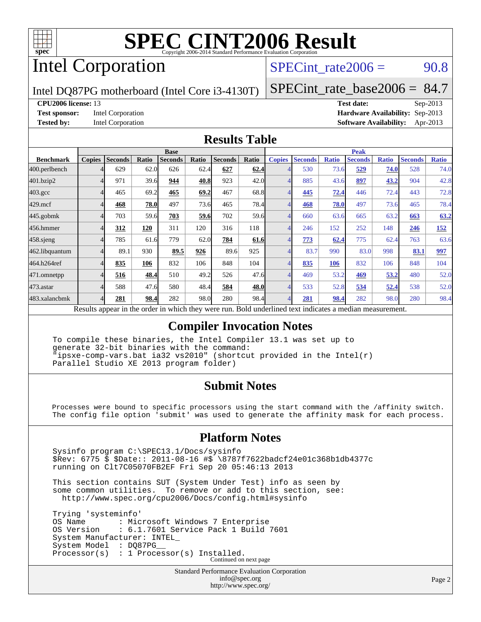

# Intel Corporation

SPECint rate $2006 = 90.8$ 

Intel DQ87PG motherboard (Intel Core i3-4130T)

[SPECint\\_rate\\_base2006 =](http://www.spec.org/auto/cpu2006/Docs/result-fields.html#SPECintratebase2006) 84.7

#### **[CPU2006 license:](http://www.spec.org/auto/cpu2006/Docs/result-fields.html#CPU2006license)** 13 **[Test date:](http://www.spec.org/auto/cpu2006/Docs/result-fields.html#Testdate)** Sep-2013

**[Test sponsor:](http://www.spec.org/auto/cpu2006/Docs/result-fields.html#Testsponsor)** Intel Corporation **[Hardware Availability:](http://www.spec.org/auto/cpu2006/Docs/result-fields.html#HardwareAvailability)** Sep-2013 **[Tested by:](http://www.spec.org/auto/cpu2006/Docs/result-fields.html#Testedby)** Intel Corporation **[Software Availability:](http://www.spec.org/auto/cpu2006/Docs/result-fields.html#SoftwareAvailability)** Apr-2013

## **[Results Table](http://www.spec.org/auto/cpu2006/Docs/result-fields.html#ResultsTable)**

|                    | <b>Base</b>   |                |       |                |       |                | <b>Peak</b> |               |                |              |                |              |                |              |
|--------------------|---------------|----------------|-------|----------------|-------|----------------|-------------|---------------|----------------|--------------|----------------|--------------|----------------|--------------|
| <b>Benchmark</b>   | <b>Copies</b> | <b>Seconds</b> | Ratio | <b>Seconds</b> | Ratio | <b>Seconds</b> | Ratio       | <b>Copies</b> | <b>Seconds</b> | <b>Ratio</b> | <b>Seconds</b> | <b>Ratio</b> | <b>Seconds</b> | <b>Ratio</b> |
| 400.perlbench      |               | 629            | 62.0  | 626            | 62.4  | 627            | 62.4        |               | 530            | 73.6         | 529            | 74.0         | 528            | 74.0         |
| 401.bzip2          | 4             | 971            | 39.6  | 944            | 40.8  | 923            | 42.0        |               | 885            | 43.6         | 897            | 43.2         | 904            | 42.8         |
| $403.\mathrm{gcc}$ |               | 465            | 69.2  | 465            | 69.2  | 467            | 68.8        |               | 445            | 72.4         | 446            | 72.4         | 443            | 72.8         |
| $429$ .mcf         |               | 468            | 78.0  | 497            | 73.6  | 465            | 78.4        |               | 468            | 78.0         | 497            | 73.6         | 465            | 78.4         |
| $445$ .gobmk       |               | 703            | 59.6  | 703            | 59.6  | 702            | 59.6        |               | 660            | 63.6         | 665            | 63.2         | 663            | 63.2         |
| 456.hmmer          |               | 312            | 120   | 311            | 120   | 316            | 118         |               | 246            | 152          | 252            | 148          | 246            | <u>152</u>   |
| 458 sjeng          |               | 785            | 61.6  | 779            | 62.0  | 784            | 61.6        |               | 773            | 62.4         | 775            | 62.4         | 763            | 63.6         |
| 462.libquantum     |               | 89.1           | 930   | 89.5           | 926   | 89.6           | 925         |               | 83.7           | 990          | 83.0           | 998          | 83.1           | 997          |
| 464.h264ref        |               | 835            | 106   | 832            | 106   | 848            | 104         |               | 835            | <b>106</b>   | 832            | 106          | 848            | 104          |
| 471.omnetpp        | 4             | 516            | 48.4  | 510            | 49.2  | 526            | 47.6        |               | 469            | 53.2         | 469            | 53.2         | 480            | 52.0         |
| $473$ . astar      |               | 588            | 47.6  | 580            | 48.4  | 584            | 48.0        |               | 533            | 52.8         | 534            | 52.4         | 538            | 52.0         |
| 483.xalancbmk      |               | 281            | 98.4  | 282            | 98.0  | 280            | 98.4        |               | 281            | 98.4         | 282            | 98.0         | 280            | 98.4         |

Results appear in the [order in which they were run.](http://www.spec.org/auto/cpu2006/Docs/result-fields.html#RunOrder) Bold underlined text [indicates a median measurement.](http://www.spec.org/auto/cpu2006/Docs/result-fields.html#Median)

## **[Compiler Invocation Notes](http://www.spec.org/auto/cpu2006/Docs/result-fields.html#CompilerInvocationNotes)**

 To compile these binaries, the Intel Compiler 13.1 was set up to generate 32-bit binaries with the command: "ipsxe-comp-vars.bat ia32 vs2010" (shortcut provided in the Intel(r) Parallel Studio XE 2013 program folder)

## **[Submit Notes](http://www.spec.org/auto/cpu2006/Docs/result-fields.html#SubmitNotes)**

 Processes were bound to specific processors using the start command with the /affinity switch. The config file option 'submit' was used to generate the affinity mask for each process.

## **[Platform Notes](http://www.spec.org/auto/cpu2006/Docs/result-fields.html#PlatformNotes)**

 Sysinfo program C:\SPEC13.1/Docs/sysinfo \$Rev: 6775 \$ \$Date:: 2011-08-16 #\$ \8787f7622badcf24e01c368b1db4377c running on Clt7C05070FB2EF Fri Sep 20 05:46:13 2013

 This section contains SUT (System Under Test) info as seen by some common utilities. To remove or add to this section, see: <http://www.spec.org/cpu2006/Docs/config.html#sysinfo>

 Trying 'systeminfo' OS Name : Microsoft Windows 7 Enterprise<br>OS Version : 6.1.7601 Service Pack 1 Build : 6.1.7601 Service Pack 1 Build 7601 System Manufacturer: INTEL\_ System Model : DQ87PG Processor(s) : 1 Processor(s) Installed. Continued on next page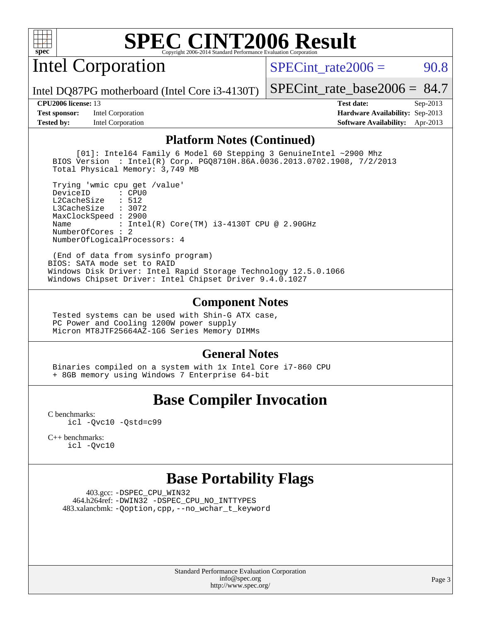

Intel Corporation

SPECint rate $2006 = 90.8$ 

Intel DQ87PG motherboard (Intel Core i3-4130T)

**[Test sponsor:](http://www.spec.org/auto/cpu2006/Docs/result-fields.html#Testsponsor)** Intel Corporation **[Hardware Availability:](http://www.spec.org/auto/cpu2006/Docs/result-fields.html#HardwareAvailability)** Sep-2013

[SPECint\\_rate\\_base2006 =](http://www.spec.org/auto/cpu2006/Docs/result-fields.html#SPECintratebase2006) 84.7 **[CPU2006 license:](http://www.spec.org/auto/cpu2006/Docs/result-fields.html#CPU2006license)** 13 **[Test date:](http://www.spec.org/auto/cpu2006/Docs/result-fields.html#Testdate)** Sep-2013

**[Tested by:](http://www.spec.org/auto/cpu2006/Docs/result-fields.html#Testedby)** Intel Corporation **[Software Availability:](http://www.spec.org/auto/cpu2006/Docs/result-fields.html#SoftwareAvailability)** Apr-2013

### **[Platform Notes \(Continued\)](http://www.spec.org/auto/cpu2006/Docs/result-fields.html#PlatformNotes)**

 [01]: Intel64 Family 6 Model 60 Stepping 3 GenuineIntel ~2900 Mhz BIOS Version : Intel(R) Corp. PGQ8710H.86A.0036.2013.0702.1908, 7/2/2013 Total Physical Memory: 3,749 MB

 Trying 'wmic cpu get /value' DeviceID L2CacheSize : 512 L3CacheSize : 3072 MaxClockSpeed : 2900 Name : Intel(R) Core(TM) i3-4130T CPU @ 2.90GHz NumberOfCores : 2 NumberOfLogicalProcessors: 4

 (End of data from sysinfo program) BIOS: SATA mode set to RAID Windows Disk Driver: Intel Rapid Storage Technology 12.5.0.1066 Windows Chipset Driver: Intel Chipset Driver 9.4.0.1027

### **[Component Notes](http://www.spec.org/auto/cpu2006/Docs/result-fields.html#ComponentNotes)**

 Tested systems can be used with Shin-G ATX case, PC Power and Cooling 1200W power supply Micron MT8JTF25664AZ-1G6 Series Memory DIMMs

## **[General Notes](http://www.spec.org/auto/cpu2006/Docs/result-fields.html#GeneralNotes)**

 Binaries compiled on a system with 1x Intel Core i7-860 CPU + 8GB memory using Windows 7 Enterprise 64-bit

# **[Base Compiler Invocation](http://www.spec.org/auto/cpu2006/Docs/result-fields.html#BaseCompilerInvocation)**

[C benchmarks](http://www.spec.org/auto/cpu2006/Docs/result-fields.html#Cbenchmarks): [icl -Qvc10](http://www.spec.org/cpu2006/results/res2014q3/cpu2006-20140701-30259.flags.html#user_CCbase_intel_icc_vc10_9607f3ecbcdf68042245f068e51b40c1) [-Qstd=c99](http://www.spec.org/cpu2006/results/res2014q3/cpu2006-20140701-30259.flags.html#user_CCbase_intel_compiler_c99_mode_1a3d110e3041b3ad4466830521bdad2a)

[C++ benchmarks:](http://www.spec.org/auto/cpu2006/Docs/result-fields.html#CXXbenchmarks) [icl -Qvc10](http://www.spec.org/cpu2006/results/res2014q3/cpu2006-20140701-30259.flags.html#user_CXXbase_intel_icc_vc10_9607f3ecbcdf68042245f068e51b40c1)

## **[Base Portability Flags](http://www.spec.org/auto/cpu2006/Docs/result-fields.html#BasePortabilityFlags)**

 403.gcc: [-DSPEC\\_CPU\\_WIN32](http://www.spec.org/cpu2006/results/res2014q3/cpu2006-20140701-30259.flags.html#b403.gcc_baseCPORTABILITY_DSPEC_CPU_WIN32) 464.h264ref: [-DWIN32](http://www.spec.org/cpu2006/results/res2014q3/cpu2006-20140701-30259.flags.html#b464.h264ref_baseCPORTABILITY_DWIN32) [-DSPEC\\_CPU\\_NO\\_INTTYPES](http://www.spec.org/cpu2006/results/res2014q3/cpu2006-20140701-30259.flags.html#b464.h264ref_baseCPORTABILITY_DSPEC_CPU_NO_INTTYPES) 483.xalancbmk: [-Qoption,cpp,--no\\_wchar\\_t\\_keyword](http://www.spec.org/cpu2006/results/res2014q3/cpu2006-20140701-30259.flags.html#user_baseCXXPORTABILITY483_xalancbmk_f-no_wchar_t_keyword_ec0ad4495a16b4e858bfcb29d949d25d)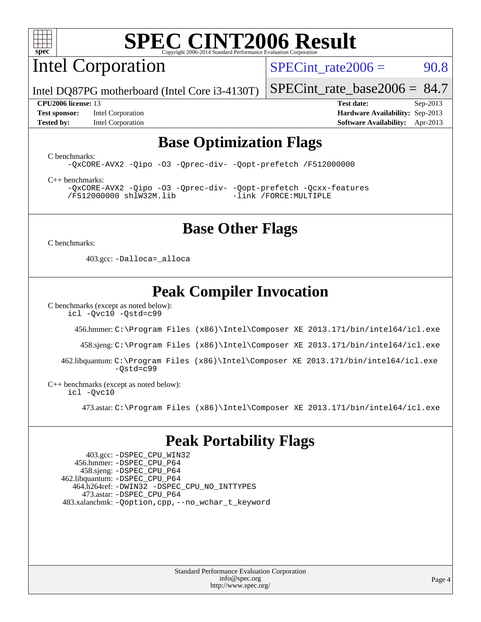

Intel Corporation

SPECint rate $2006 = 90.8$ 

Intel DQ87PG motherboard (Intel Core i3-4130T)

**[Test sponsor:](http://www.spec.org/auto/cpu2006/Docs/result-fields.html#Testsponsor)** Intel Corporation **[Hardware Availability:](http://www.spec.org/auto/cpu2006/Docs/result-fields.html#HardwareAvailability)** Sep-2013 **[Tested by:](http://www.spec.org/auto/cpu2006/Docs/result-fields.html#Testedby)** Intel Corporation **[Software Availability:](http://www.spec.org/auto/cpu2006/Docs/result-fields.html#SoftwareAvailability)** Apr-2013

[SPECint\\_rate\\_base2006 =](http://www.spec.org/auto/cpu2006/Docs/result-fields.html#SPECintratebase2006) 84.7 **[CPU2006 license:](http://www.spec.org/auto/cpu2006/Docs/result-fields.html#CPU2006license)** 13 **[Test date:](http://www.spec.org/auto/cpu2006/Docs/result-fields.html#Testdate)** Sep-2013

## **[Base Optimization Flags](http://www.spec.org/auto/cpu2006/Docs/result-fields.html#BaseOptimizationFlags)**

[C benchmarks](http://www.spec.org/auto/cpu2006/Docs/result-fields.html#Cbenchmarks):

[-QxCORE-AVX2](http://www.spec.org/cpu2006/results/res2014q3/cpu2006-20140701-30259.flags.html#user_CCbase_f-QxAVX2_f98716b5f9e905f99c943c56f21bf430) [-Qipo](http://www.spec.org/cpu2006/results/res2014q3/cpu2006-20140701-30259.flags.html#user_CCbase_f-Qipo) [-O3](http://www.spec.org/cpu2006/results/res2014q3/cpu2006-20140701-30259.flags.html#user_CCbase_f-O3) [-Qprec-div-](http://www.spec.org/cpu2006/results/res2014q3/cpu2006-20140701-30259.flags.html#user_CCbase_f-Qprec-div-) [-Qopt-prefetch](http://www.spec.org/cpu2006/results/res2014q3/cpu2006-20140701-30259.flags.html#user_CCbase_f-Qprefetch_37c211608666b9dff9380561f602f0a8) [/F512000000](http://www.spec.org/cpu2006/results/res2014q3/cpu2006-20140701-30259.flags.html#user_CCbase_set_stack_space_98438a10eb60aa5f35f4c79d9b9b27b1)

[C++ benchmarks:](http://www.spec.org/auto/cpu2006/Docs/result-fields.html#CXXbenchmarks) [-QxCORE-AVX2](http://www.spec.org/cpu2006/results/res2014q3/cpu2006-20140701-30259.flags.html#user_CXXbase_f-QxAVX2_f98716b5f9e905f99c943c56f21bf430) [-Qipo](http://www.spec.org/cpu2006/results/res2014q3/cpu2006-20140701-30259.flags.html#user_CXXbase_f-Qipo) [-O3](http://www.spec.org/cpu2006/results/res2014q3/cpu2006-20140701-30259.flags.html#user_CXXbase_f-O3) [-Qprec-div-](http://www.spec.org/cpu2006/results/res2014q3/cpu2006-20140701-30259.flags.html#user_CXXbase_f-Qprec-div-) [-Qopt-prefetch](http://www.spec.org/cpu2006/results/res2014q3/cpu2006-20140701-30259.flags.html#user_CXXbase_f-Qprefetch_37c211608666b9dff9380561f602f0a8) [-Qcxx-features](http://www.spec.org/cpu2006/results/res2014q3/cpu2006-20140701-30259.flags.html#user_CXXbase_f-Qcxx_features_dbf36c8a6dba956e22f1645e4dcd4d98) [/F512000000](http://www.spec.org/cpu2006/results/res2014q3/cpu2006-20140701-30259.flags.html#user_CXXbase_set_stack_space_98438a10eb60aa5f35f4c79d9b9b27b1) [shlW32M.lib](http://www.spec.org/cpu2006/results/res2014q3/cpu2006-20140701-30259.flags.html#user_CXXbase_SmartHeap32_d106338dfda1a055705c9b519e07f096) [-link /FORCE:MULTIPLE](http://www.spec.org/cpu2006/results/res2014q3/cpu2006-20140701-30259.flags.html#user_CXXbase_link_force_multiple2_070fe330869edf77077b841074b8b0b6)

# **[Base Other Flags](http://www.spec.org/auto/cpu2006/Docs/result-fields.html#BaseOtherFlags)**

[C benchmarks](http://www.spec.org/auto/cpu2006/Docs/result-fields.html#Cbenchmarks):

403.gcc: [-Dalloca=\\_alloca](http://www.spec.org/cpu2006/results/res2014q3/cpu2006-20140701-30259.flags.html#b403.gcc_baseEXTRA_CFLAGS_Dalloca_be3056838c12de2578596ca5467af7f3)

# **[Peak Compiler Invocation](http://www.spec.org/auto/cpu2006/Docs/result-fields.html#PeakCompilerInvocation)**

[C benchmarks \(except as noted below\)](http://www.spec.org/auto/cpu2006/Docs/result-fields.html#Cbenchmarksexceptasnotedbelow):

[icl -Qvc10](http://www.spec.org/cpu2006/results/res2014q3/cpu2006-20140701-30259.flags.html#user_CCpeak_intel_icc_vc10_9607f3ecbcdf68042245f068e51b40c1) [-Qstd=c99](http://www.spec.org/cpu2006/results/res2014q3/cpu2006-20140701-30259.flags.html#user_CCpeak_intel_compiler_c99_mode_1a3d110e3041b3ad4466830521bdad2a)

456.hmmer: [C:\Program Files \(x86\)\Intel\Composer XE 2013.171/bin/intel64/icl.exe](http://www.spec.org/cpu2006/results/res2014q3/cpu2006-20140701-30259.flags.html#user_peakCCLD456_hmmer_intel_icc_64bit_a47adb23ffeeb40a4c72a454746f326c)

458.sjeng: [C:\Program Files \(x86\)\Intel\Composer XE 2013.171/bin/intel64/icl.exe](http://www.spec.org/cpu2006/results/res2014q3/cpu2006-20140701-30259.flags.html#user_peakCCLD458_sjeng_intel_icc_64bit_a47adb23ffeeb40a4c72a454746f326c)

 462.libquantum: [C:\Program Files \(x86\)\Intel\Composer XE 2013.171/bin/intel64/icl.exe](http://www.spec.org/cpu2006/results/res2014q3/cpu2006-20140701-30259.flags.html#user_peakCCLD462_libquantum_intel_icc_64bit_a47adb23ffeeb40a4c72a454746f326c)  $-Ostd=c99$ 

[C++ benchmarks \(except as noted below\):](http://www.spec.org/auto/cpu2006/Docs/result-fields.html#CXXbenchmarksexceptasnotedbelow) [icl -Qvc10](http://www.spec.org/cpu2006/results/res2014q3/cpu2006-20140701-30259.flags.html#user_CXXpeak_intel_icc_vc10_9607f3ecbcdf68042245f068e51b40c1)

473.astar: [C:\Program Files \(x86\)\Intel\Composer XE 2013.171/bin/intel64/icl.exe](http://www.spec.org/cpu2006/results/res2014q3/cpu2006-20140701-30259.flags.html#user_peakCXXLD473_astar_intel_icc_64bit_a47adb23ffeeb40a4c72a454746f326c)

# **[Peak Portability Flags](http://www.spec.org/auto/cpu2006/Docs/result-fields.html#PeakPortabilityFlags)**

 403.gcc: [-DSPEC\\_CPU\\_WIN32](http://www.spec.org/cpu2006/results/res2014q3/cpu2006-20140701-30259.flags.html#b403.gcc_peakCPORTABILITY_DSPEC_CPU_WIN32) 456.hmmer: [-DSPEC\\_CPU\\_P64](http://www.spec.org/cpu2006/results/res2014q3/cpu2006-20140701-30259.flags.html#suite_peakPORTABILITY456_hmmer_DSPEC_CPU_P64) 458.sjeng: [-DSPEC\\_CPU\\_P64](http://www.spec.org/cpu2006/results/res2014q3/cpu2006-20140701-30259.flags.html#suite_peakPORTABILITY458_sjeng_DSPEC_CPU_P64) 462.libquantum: [-DSPEC\\_CPU\\_P64](http://www.spec.org/cpu2006/results/res2014q3/cpu2006-20140701-30259.flags.html#suite_peakPORTABILITY462_libquantum_DSPEC_CPU_P64) 464.h264ref: [-DWIN32](http://www.spec.org/cpu2006/results/res2014q3/cpu2006-20140701-30259.flags.html#b464.h264ref_peakCPORTABILITY_DWIN32) [-DSPEC\\_CPU\\_NO\\_INTTYPES](http://www.spec.org/cpu2006/results/res2014q3/cpu2006-20140701-30259.flags.html#b464.h264ref_peakCPORTABILITY_DSPEC_CPU_NO_INTTYPES) 473.astar: [-DSPEC\\_CPU\\_P64](http://www.spec.org/cpu2006/results/res2014q3/cpu2006-20140701-30259.flags.html#suite_peakPORTABILITY473_astar_DSPEC_CPU_P64) 483.xalancbmk: [-Qoption,cpp,--no\\_wchar\\_t\\_keyword](http://www.spec.org/cpu2006/results/res2014q3/cpu2006-20140701-30259.flags.html#user_peakCXXPORTABILITY483_xalancbmk_f-no_wchar_t_keyword_ec0ad4495a16b4e858bfcb29d949d25d)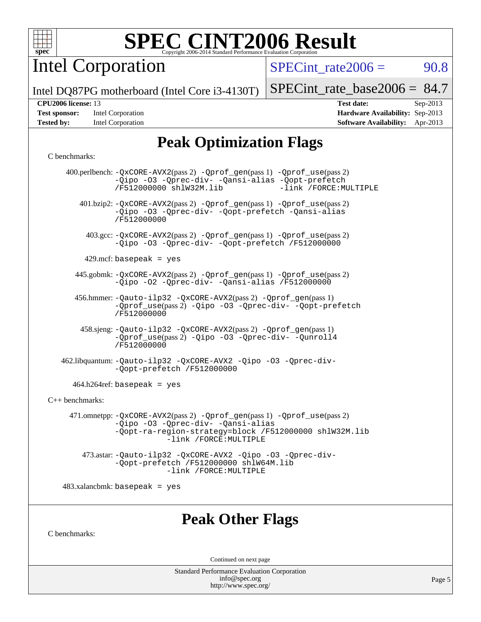

Intel Corporation

 $SPECTnt_rate2006 = 90.8$ 

Intel DQ87PG motherboard (Intel Core i3-4130T)

### **[CPU2006 license:](http://www.spec.org/auto/cpu2006/Docs/result-fields.html#CPU2006license)** 13 **[Test date:](http://www.spec.org/auto/cpu2006/Docs/result-fields.html#Testdate)** Sep-2013

| <b>Test sponsor:</b> | Intel Corporation |
|----------------------|-------------------|
| <b>Tested by:</b>    | Intel Corporation |

[SPECint\\_rate\\_base2006 =](http://www.spec.org/auto/cpu2006/Docs/result-fields.html#SPECintratebase2006) 84.7

**[Hardware Availability:](http://www.spec.org/auto/cpu2006/Docs/result-fields.html#HardwareAvailability)** Sep-2013 **[Software Availability:](http://www.spec.org/auto/cpu2006/Docs/result-fields.html#SoftwareAvailability)** Apr-2013

# **[Peak Optimization Flags](http://www.spec.org/auto/cpu2006/Docs/result-fields.html#PeakOptimizationFlags)**

#### [C benchmarks](http://www.spec.org/auto/cpu2006/Docs/result-fields.html#Cbenchmarks):

|                      | 400.perlbench: -QxCORE-AVX2(pass 2) -Qprof_gen(pass 1) -Qprof_use(pass 2)<br>-Qipo -03 -Qprec-div- -Qansi-alias -Qopt-prefetch<br>-link /FORCE: MULTIPLE<br>/F512000000 shlW32M.lib               |
|----------------------|---------------------------------------------------------------------------------------------------------------------------------------------------------------------------------------------------|
|                      | 401.bzip2: -QxCORE-AVX2(pass 2) -Qprof_gen(pass 1) -Qprof_use(pass 2)<br>-Qipo -03 -Qprec-div- -Qopt-prefetch -Qansi-alias<br>/F512000000                                                         |
|                      | 403.gcc: -QxCORE-AVX2(pass 2) -Qprof_gen(pass 1) -Qprof_use(pass 2)<br>-Qipo -03 -Qprec-div- -Qopt-prefetch /F512000000                                                                           |
|                      | 429.mcf: basepeak = $yes$                                                                                                                                                                         |
|                      | 445.gobmk: -QxCORE-AVX2(pass 2) -Qprof_gen(pass 1) -Qprof_use(pass 2)<br>-Qipo -02 -Qprec-div- -Qansi-alias /F512000000                                                                           |
|                      | 456.hmmer: -Qauto-ilp32 -QxCORE-AVX2(pass 2) -Qprof_gen(pass 1)<br>-Oprof_use(pass 2) -Oipo -O3 -Oprec-div- -Oopt-prefetch<br>/F512000000                                                         |
|                      | 458.sjeng: -Qauto-ilp32 -QxCORE-AVX2(pass 2) -Qprof_gen(pass 1)<br>-Qprof_use(pass 2) -Qipo -03 -Qprec-div- -Qunroll4<br>/F512000000                                                              |
|                      | 462.libquantum: - Qauto-ilp32 - QxCORE-AVX2 - Qipo - 03 - Qprec-div-<br>-Qopt-prefetch /F512000000                                                                                                |
|                      | $464.h264$ ref: basepeak = yes                                                                                                                                                                    |
| $C_{++}$ benchmarks: |                                                                                                                                                                                                   |
|                      | 471.omnetpp: -QxCORE-AVX2(pass 2) -Qprof_gen(pass 1) -Qprof_use(pass 2)<br>-Qipo -03 -Qprec-div- -Qansi-alias<br>-Qopt-ra-region-strategy=block /F512000000 shlW32M.lib<br>-link /FORCE: MULTIPLE |
|                      | 473.astar: -Qauto-ilp32 -QxCORE-AVX2 -Qipo -03 -Qprec-div-<br>-Qopt-prefetch /F512000000 shlW64M.lib<br>-link /FORCE: MULTIPLE                                                                    |
|                      | $483.xalanchmk: basepeak = yes$                                                                                                                                                                   |
| C benchmarks:        | <b>Peak Other Flags</b>                                                                                                                                                                           |
|                      | Continued on next page                                                                                                                                                                            |